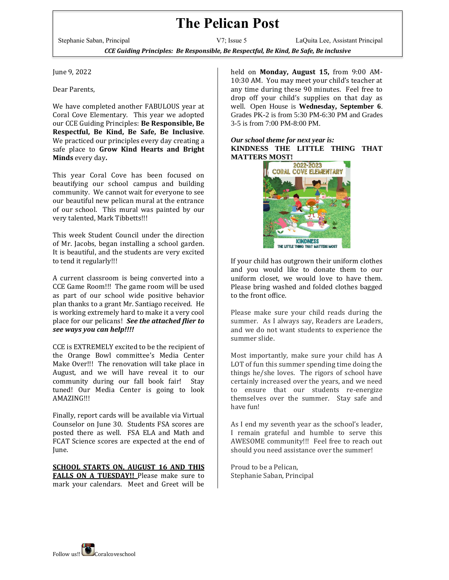## **The Pelican Post**

Stephanie Saban, Principal V7; Issue 5 LaQuita Lee, Assistant Principal *CCE Guiding Principles: Be Responsible, Be Respectful, Be Kind, Be Safe, Be inclusive*

June 9, 2022

Dear Parents,

We have completed another FABULOUS year at Coral Cove Elementary. This year we adopted our CCE Guiding Principles: **Be Responsible, Be Respectful, Be Kind, Be Safe, Be Inclusive**. We practiced our principles every day creating a safe place to **Grow Kind Hearts and Bright Minds** every day**.**

This year Coral Cove has been focused on beautifying our school campus and building community. We cannot wait for everyone to see our beautiful new pelican mural at the entrance of our school. This mural was painted by our very talented, Mark Tibbetts!!!

This week Student Council under the direction of Mr. Jacobs, began installing a school garden. It is beautiful, and the students are very excited to tend it regularly!!!

A current classroom is being converted into a CCE Game Room!!! The game room will be used as part of our school wide positive behavior plan thanks to a grant Mr. Santiago received. He is working extremely hard to make it a very cool place for our pelicans! *See the attached flier to see ways you can help!!!!* 

CCE is EXTREMELY excited to be the recipient of the Orange Bowl committee's Media Center Make Over!!! The renovation will take place in August, and we will have reveal it to our community during our fall book fair! Stay tuned! Our Media Center is going to look AMAZING!!!

Finally, report cards will be available via Virtual Counselor on June 30. Students FSA scores are posted there as well. FSA ELA and Math and FCAT Science scores are expected at the end of June.

**SCHOOL STARTS ON, AUGUST 16 AND THIS**  FALLS ON A TUESDAY!! Please make sure to mark your calendars. Meet and Greet will be

held on **Monday, August 15,** from 9:00 AM-10:30 AM. You may meet your child's teacher at any time during these 90 minutes. Feel free to drop off your child's supplies on that day as well. Open House is **Wednesday, September 6**. Grades PK-2 is from 5:30 PM-6:30 PM and Grades 3-5 is from 7:00 PM-8:00 PM.

## *Our school theme for next year is:* **KINDNESS THE LITTLE THING THAT MATTERS MOST!**



If your child has outgrown their uniform clothes and you would like to donate them to our uniform closet, we would love to have them. Please bring washed and folded clothes bagged to the front office.

Please make sure your child reads during the summer. As I always say, Readers are Leaders, and we do not want students to experience the summer slide.

Most importantly, make sure your child has A LOT of fun this summer spending time doing the things he/she loves. The rigors of school have certainly increased over the years, and we need to ensure that our students re-energize themselves over the summer. Stay safe and have fun!

As I end my seventh year as the school's leader, I remain grateful and humble to serve this AWESOME community!!! Feel free to reach out should you need assistance over the summer!

Proud to be a Pelican, Stephanie Saban, Principal